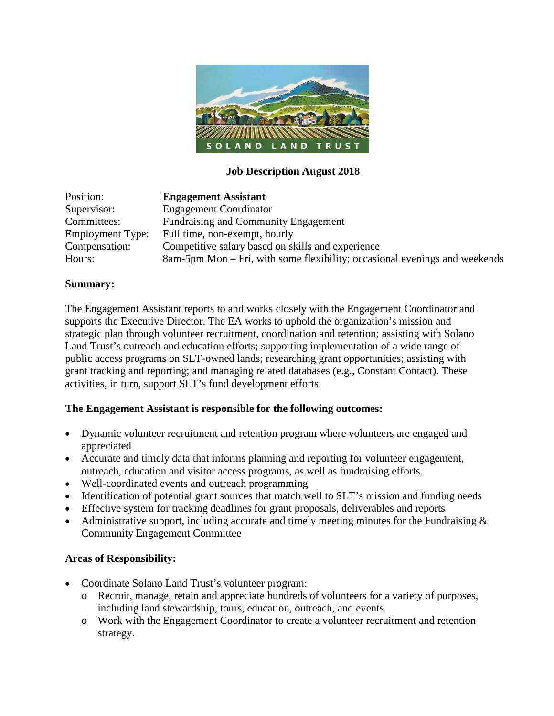

### **Job Description August 2018**

| Position:               | <b>Engagement Assistant</b>                                                |
|-------------------------|----------------------------------------------------------------------------|
| Supervisor:             | <b>Engagement Coordinator</b>                                              |
| Committees:             | Fundraising and Community Engagement                                       |
| <b>Employment Type:</b> | Full time, non-exempt, hourly                                              |
| Compensation:           | Competitive salary based on skills and experience                          |
| Hours:                  | 8am-5pm Mon – Fri, with some flexibility; occasional evenings and weekends |

#### **Summary:**

The Engagement Assistant reports to and works closely with the Engagement Coordinator and supports the Executive Director. The EA works to uphold the organization's mission and strategic plan through volunteer recruitment, coordination and retention; assisting with Solano Land Trust's outreach and education efforts; supporting implementation of a wide range of public access programs on SLT-owned lands; researching grant opportunities; assisting with grant tracking and reporting; and managing related databases (e.g., Constant Contact). These activities, in turn, support SLT's fund development efforts.

#### **The Engagement Assistant is responsible for the following outcomes:**

- Dynamic volunteer recruitment and retention program where volunteers are engaged and appreciated
- Accurate and timely data that informs planning and reporting for volunteer engagement, outreach, education and visitor access programs, as well as fundraising efforts.
- Well-coordinated events and outreach programming
- Identification of potential grant sources that match well to SLT's mission and funding needs
- Effective system for tracking deadlines for grant proposals, deliverables and reports
- Administrative support, including accurate and timely meeting minutes for the Fundraising  $\&$ Community Engagement Committee

#### **Areas of Responsibility:**

- Coordinate Solano Land Trust's volunteer program:
	- o Recruit, manage, retain and appreciate hundreds of volunteers for a variety of purposes, including land stewardship, tours, education, outreach, and events.
	- o Work with the Engagement Coordinator to create a volunteer recruitment and retention strategy.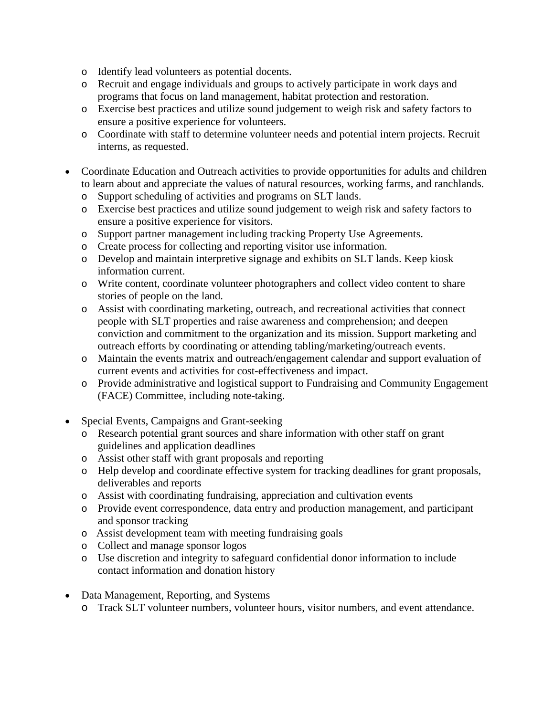- o Identify lead volunteers as potential docents.
- o Recruit and engage individuals and groups to actively participate in work days and programs that focus on land management, habitat protection and restoration.
- o Exercise best practices and utilize sound judgement to weigh risk and safety factors to ensure a positive experience for volunteers.
- o Coordinate with staff to determine volunteer needs and potential intern projects. Recruit interns, as requested.
- Coordinate Education and Outreach activities to provide opportunities for adults and children to learn about and appreciate the values of natural resources, working farms, and ranchlands.
	- o Support scheduling of activities and programs on SLT lands.
	- o Exercise best practices and utilize sound judgement to weigh risk and safety factors to ensure a positive experience for visitors.
	- o Support partner management including tracking Property Use Agreements.
	- o Create process for collecting and reporting visitor use information.
	- o Develop and maintain interpretive signage and exhibits on SLT lands. Keep kiosk information current.
	- o Write content, coordinate volunteer photographers and collect video content to share stories of people on the land.
	- o Assist with coordinating marketing, outreach, and recreational activities that connect people with SLT properties and raise awareness and comprehension; and deepen conviction and commitment to the organization and its mission. Support marketing and outreach efforts by coordinating or attending tabling/marketing/outreach events.
	- o Maintain the events matrix and outreach/engagement calendar and support evaluation of current events and activities for cost-effectiveness and impact.
	- o Provide administrative and logistical support to Fundraising and Community Engagement (FACE) Committee, including note-taking.
- Special Events, Campaigns and Grant-seeking
	- o Research potential grant sources and share information with other staff on grant guidelines and application deadlines
	- o Assist other staff with grant proposals and reporting
	- o Help develop and coordinate effective system for tracking deadlines for grant proposals, deliverables and reports
	- o Assist with coordinating fundraising, appreciation and cultivation events
	- o Provide event correspondence, data entry and production management, and participant and sponsor tracking
	- o Assist development team with meeting fundraising goals
	- o Collect and manage sponsor logos
	- o Use discretion and integrity to safeguard confidential donor information to include contact information and donation history
- Data Management, Reporting, and Systems
	- o Track SLT volunteer numbers, volunteer hours, visitor numbers, and event attendance.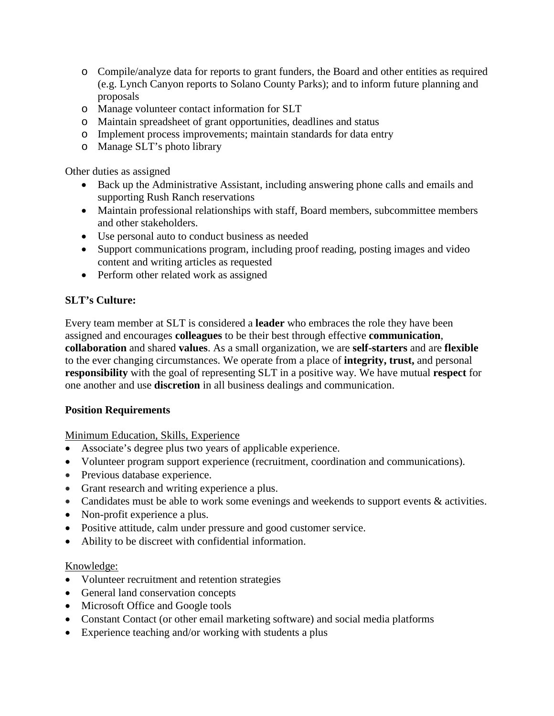- o Compile/analyze data for reports to grant funders, the Board and other entities as required (e.g. Lynch Canyon reports to Solano County Parks); and to inform future planning and proposals
- o Manage volunteer contact information for SLT
- o Maintain spreadsheet of grant opportunities, deadlines and status
- o Implement process improvements; maintain standards for data entry
- o Manage SLT's photo library

Other duties as assigned

- Back up the Administrative Assistant, including answering phone calls and emails and supporting Rush Ranch reservations
- Maintain professional relationships with staff, Board members, subcommittee members and other stakeholders.
- Use personal auto to conduct business as needed
- Support communications program, including proof reading, posting images and video content and writing articles as requested
- Perform other related work as assigned

## **SLT's Culture:**

Every team member at SLT is considered a **leader** who embraces the role they have been assigned and encourages **colleagues** to be their best through effective **communication**, **collaboration** and shared **values**. As a small organization, we are **self-starters** and are **flexible** to the ever changing circumstances. We operate from a place of **integrity, trust,** and personal **responsibility** with the goal of representing SLT in a positive way. We have mutual **respect** for one another and use **discretion** in all business dealings and communication.

#### **Position Requirements**

Minimum Education, Skills, Experience

- Associate's degree plus two years of applicable experience.
- Volunteer program support experience (recruitment, coordination and communications).
- Previous database experience.
- Grant research and writing experience a plus.
- Candidates must be able to work some evenings and weekends to support events & activities.
- Non-profit experience a plus.
- Positive attitude, calm under pressure and good customer service.
- Ability to be discreet with confidential information.

#### Knowledge:

- Volunteer recruitment and retention strategies
- General land conservation concepts
- Microsoft Office and Google tools
- Constant Contact (or other email marketing software) and social media platforms
- Experience teaching and/or working with students a plus